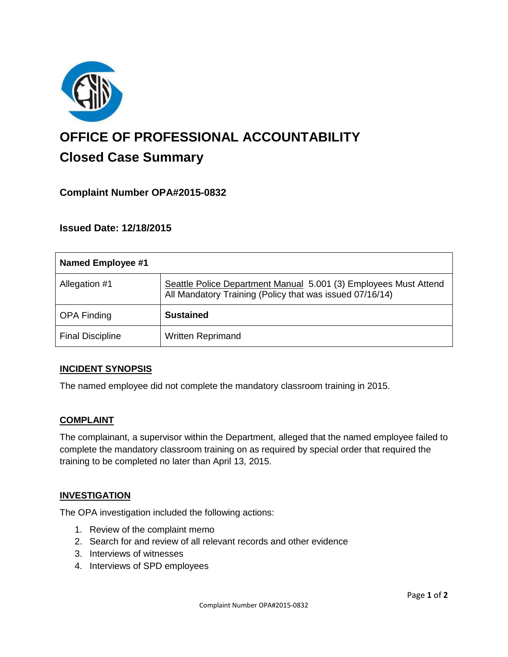

# **OFFICE OF PROFESSIONAL ACCOUNTABILITY Closed Case Summary**

## **Complaint Number OPA#2015-0832**

**Issued Date: 12/18/2015**

| Named Employee #1       |                                                                                                                              |
|-------------------------|------------------------------------------------------------------------------------------------------------------------------|
| Allegation #1           | Seattle Police Department Manual 5.001 (3) Employees Must Attend<br>All Mandatory Training (Policy that was issued 07/16/14) |
| <b>OPA Finding</b>      | <b>Sustained</b>                                                                                                             |
| <b>Final Discipline</b> | <b>Written Reprimand</b>                                                                                                     |

#### **INCIDENT SYNOPSIS**

The named employee did not complete the mandatory classroom training in 2015.

#### **COMPLAINT**

The complainant, a supervisor within the Department, alleged that the named employee failed to complete the mandatory classroom training on as required by special order that required the training to be completed no later than April 13, 2015.

#### **INVESTIGATION**

The OPA investigation included the following actions:

- 1. Review of the complaint memo
- 2. Search for and review of all relevant records and other evidence
- 3. Interviews of witnesses
- 4. Interviews of SPD employees